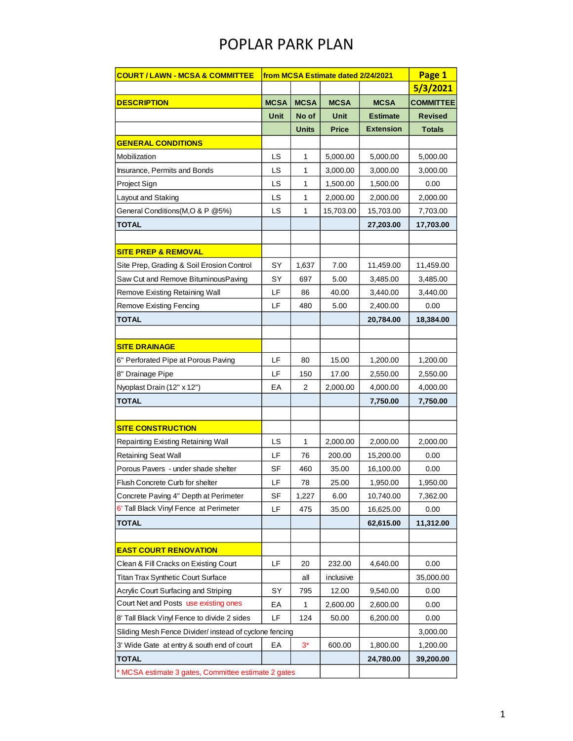## POPLAR PARK PLAN

| <u> COURT / LAWN - MCSA &amp; COMMITTEE</u>            | from MCSA Estimate dated 2/24/2021 | Page 1       |              |                  |                  |
|--------------------------------------------------------|------------------------------------|--------------|--------------|------------------|------------------|
|                                                        |                                    |              |              |                  | 5/3/2021         |
| <b>DESCRIPTION</b>                                     | <b>MCSA</b>                        | <b>MCSA</b>  | <b>MCSA</b>  | <b>MCSA</b>      | <b>COMMITTEE</b> |
|                                                        | Unit                               | No of        | Unit         | <b>Estimate</b>  | <b>Revised</b>   |
|                                                        |                                    | <b>Units</b> | <b>Price</b> | <b>Extension</b> | <b>Totals</b>    |
| <b>GENERAL CONDITIONS</b>                              |                                    |              |              |                  |                  |
| Mobilization                                           | <b>LS</b>                          | 1            | 5,000.00     | 5,000.00         | 5,000.00         |
| Insurance, Permits and Bonds                           | LS                                 | 1            | 3,000.00     | 3,000.00         | 3,000.00         |
| Project Sign                                           | LS                                 | 1            | 1,500.00     | 1,500.00         | 0.00             |
| Layout and Staking                                     | LS                                 | $\mathbf{1}$ | 2,000.00     | 2,000.00         | 2,000.00         |
| General Conditions (M, O & P @5%)                      | LS                                 | 1            | 15,703.00    | 15,703.00        | 7,703.00         |
| TOTAL                                                  |                                    |              |              | 27,203.00        | 17,703.00        |
|                                                        |                                    |              |              |                  |                  |
| <b>SITE PREP &amp; REMOVAL</b>                         |                                    |              |              |                  |                  |
| Site Prep, Grading & Soil Erosion Control              | SY                                 | 1,637        | 7.00         | 11,459.00        | 11,459.00        |
| Saw Cut and Remove BituminousPaving                    | SY                                 | 697          | 5.00         | 3,485.00         | 3,485.00         |
| Remove Existing Retaining Wall                         | LF                                 | 86           | 40.00        | 3,440.00         | 3,440.00         |
| <b>Remove Existing Fencing</b>                         | LF                                 | 480          | 5.00         | 2,400.00         | 0.00             |
| <b>TOTAL</b>                                           |                                    |              |              | 20,784.00        | 18,384.00        |
|                                                        |                                    |              |              |                  |                  |
| <b>SITE DRAINAGE</b>                                   |                                    |              |              |                  |                  |
| 6" Perforated Pipe at Porous Paving                    | LF                                 | 80           | 15.00        | 1,200.00         | 1,200.00         |
| 8" Drainage Pipe                                       | LF                                 | 150          | 17.00        | 2,550.00         | 2,550.00         |
| Nyoplast Drain (12" x 12")                             | EA                                 | 2            | 2,000.00     | 4,000.00         | 4,000.00         |
| <b>TOTAL</b>                                           |                                    |              |              | 7,750.00         | 7,750.00         |
|                                                        |                                    |              |              |                  |                  |
| <b>SITE CONSTRUCTION</b>                               |                                    |              |              |                  |                  |
| Repainting Existing Retaining Wall                     | <b>LS</b>                          | $\mathbf{1}$ | 2,000.00     | 2,000.00         | 2,000.00         |
| <b>Retaining Seat Wall</b>                             | LF                                 | 76           | 200.00       | 15,200.00        | 0.00             |
| Porous Pavers - under shade shelter                    | SF                                 | 460          | 35.00        | 16,100.00        | 0.00             |
| Flush Concrete Curb for shelter                        | LF                                 | 78           | 25.00        | 1,950.00         | 1,950.00         |
| Concrete Paving 4" Depth at Perimeter                  | SF                                 | 1,227        | 6.00         | 10,740.00        | 7,362.00         |
| 6' Tall Black Vinyl Fence at Perimeter                 | LF                                 | 475          | 35.00        | 16,625.00        | 0.00             |
| <b>TOTAL</b>                                           |                                    |              |              | 62,615.00        | 11,312.00        |
|                                                        |                                    |              |              |                  |                  |
| <b>EAST COURT RENOVATION</b>                           |                                    |              |              |                  |                  |
| Clean & Fill Cracks on Existing Court                  | LF                                 | 20           | 232.00       | 4,640.00         | 0.00             |
| Titan Trax Synthetic Court Surface                     |                                    | all          | inclusive    |                  | 35,000.00        |
| Acrylic Court Surfacing and Striping                   | SY                                 | 795          | 12.00        | 9,540.00         | 0.00             |
| Court Net and Posts use existing ones                  | EA                                 | $\mathbf{1}$ | 2,600.00     | 2,600.00         | 0.00             |
| 8' Tall Black Vinyl Fence to divide 2 sides            | LF                                 | 124          | 50.00        | 6,200.00         | 0.00             |
| Sliding Mesh Fence Divider/ instead of cyclone fencing |                                    |              |              |                  | 3,000.00         |
| 3' Wide Gate at entry & south end of court             | EA                                 | $3^*$        | 600.00       | 1,800.00         | 1,200.00         |
| <b>TOTAL</b>                                           |                                    |              |              | 24,780.00        | 39,200.00        |
| * MCSA estimate 3 gates, Committee estimate 2 gates    |                                    |              |              |                  |                  |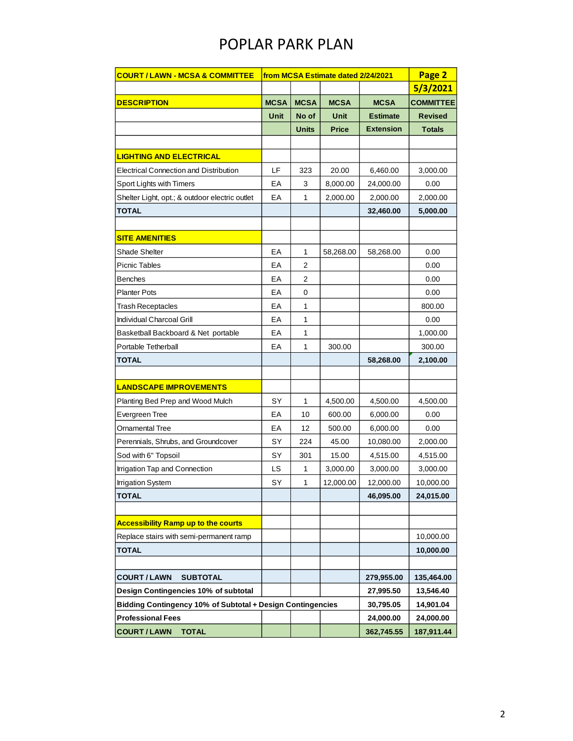## POPLAR PARK PLAN

| <b>COURT / LAWN - MCSA &amp; COMMITTEE</b>                 | from MCSA Estimate dated 2/24/2021 | Page 2         |              |                  |                  |
|------------------------------------------------------------|------------------------------------|----------------|--------------|------------------|------------------|
|                                                            |                                    |                |              |                  | 5/3/2021         |
| <b>DESCRIPTION</b>                                         | <b>MCSA</b>                        | <b>MCSA</b>    | <b>MCSA</b>  | <b>MCSA</b>      | <b>COMMITTEE</b> |
|                                                            | Unit                               | No of          | Unit         | <b>Estimate</b>  | <b>Revised</b>   |
|                                                            |                                    | Units          | <b>Price</b> | <b>Extension</b> | <b>Totals</b>    |
|                                                            |                                    |                |              |                  |                  |
| <u>LIGHTING AND ELECTRICAL</u>                             |                                    |                |              |                  |                  |
| <b>Electrical Connection and Distribution</b>              | LF                                 | 323            | 20.00        | 6,460.00         | 3,000.00         |
| Sport Lights with Timers                                   | EA                                 | 3              | 8,000.00     | 24,000.00        | 0.00             |
| Shelter Light, opt.; & outdoor electric outlet             | EA                                 | 1              | 2,000.00     | 2,000.00         | 2,000.00         |
| TOTAL                                                      |                                    |                |              | 32,460.00        | 5,000.00         |
|                                                            |                                    |                |              |                  |                  |
| <b>SITE AMENITIES</b>                                      |                                    |                |              |                  |                  |
| <b>Shade Shelter</b>                                       | EA                                 | 1              | 58,268.00    | 58,268.00        | 0.00             |
| Picnic Tables                                              | EA                                 | $\overline{2}$ |              |                  | 0.00             |
| <b>Benches</b>                                             | EA                                 | 2              |              |                  | 0.00             |
| Planter Pots                                               | EA                                 | 0              |              |                  | 0.00             |
| <b>Trash Receptacles</b>                                   | EA                                 | 1              |              |                  | 800.00           |
| Individual Charcoal Grill                                  | EA                                 | 1              |              |                  | 0.00             |
| Basketball Backboard & Net portable                        | EA                                 | 1              |              |                  | 1,000.00         |
| Portable Tetherball                                        | EA                                 | 1              | 300.00       |                  | 300.00           |
| <b>TOTAL</b>                                               |                                    |                |              | 58,268.00        | 2,100.00         |
|                                                            |                                    |                |              |                  |                  |
| <b>LANDSCAPE IMPROVEMENTS</b>                              |                                    |                |              |                  |                  |
| Planting Bed Prep and Wood Mulch                           | SY                                 | 1              | 4,500.00     | 4,500.00         | 4,500.00         |
| Evergreen Tree                                             | EA                                 | 10             | 600.00       | 6,000.00         | 0.00             |
| Ornamental Tree                                            | EA                                 | 12             | 500.00       | 6,000.00         | 0.00             |
| Perennials, Shrubs, and Groundcover                        | SY                                 | 224            | 45.00        | 10,080.00        | 2,000.00         |
| Sod with 6" Topsoil                                        | SY                                 | 301            | 15.00        | 4,515.00         | 4,515.00         |
| Irrigation Tap and Connection                              | LS                                 | 1              | 3,000.00     | 3,000.00         | 3,000.00         |
| <b>Irrigation System</b>                                   | SY                                 | 1              | 12,000.00    | 12,000.00        | 10,000.00        |
| <b>TOTAL</b>                                               |                                    |                |              | 46,095.00        | 24,015.00        |
|                                                            |                                    |                |              |                  |                  |
| <b>Accessibility Ramp up to the courts</b>                 |                                    |                |              |                  |                  |
| Replace stairs with semi-permanent ramp                    |                                    |                |              |                  | 10,000.00        |
| TOTAL                                                      |                                    |                |              |                  | 10,000.00        |
|                                                            |                                    |                |              |                  |                  |
| <b>COURT/LAWN</b><br><b>SUBTOTAL</b>                       |                                    |                |              | 279,955.00       | 135,464.00       |
| Design Contingencies 10% of subtotal                       |                                    |                |              | 27,995.50        | 13,546.40        |
| Bidding Contingency 10% of Subtotal + Design Contingencies |                                    |                |              | 30,795.05        | 14,901.04        |
| <b>Professional Fees</b>                                   |                                    |                |              | 24,000.00        | 24,000.00        |
| <b>COURT/LAWN</b><br><b>TOTAL</b>                          |                                    |                |              | 362,745.55       | 187,911.44       |